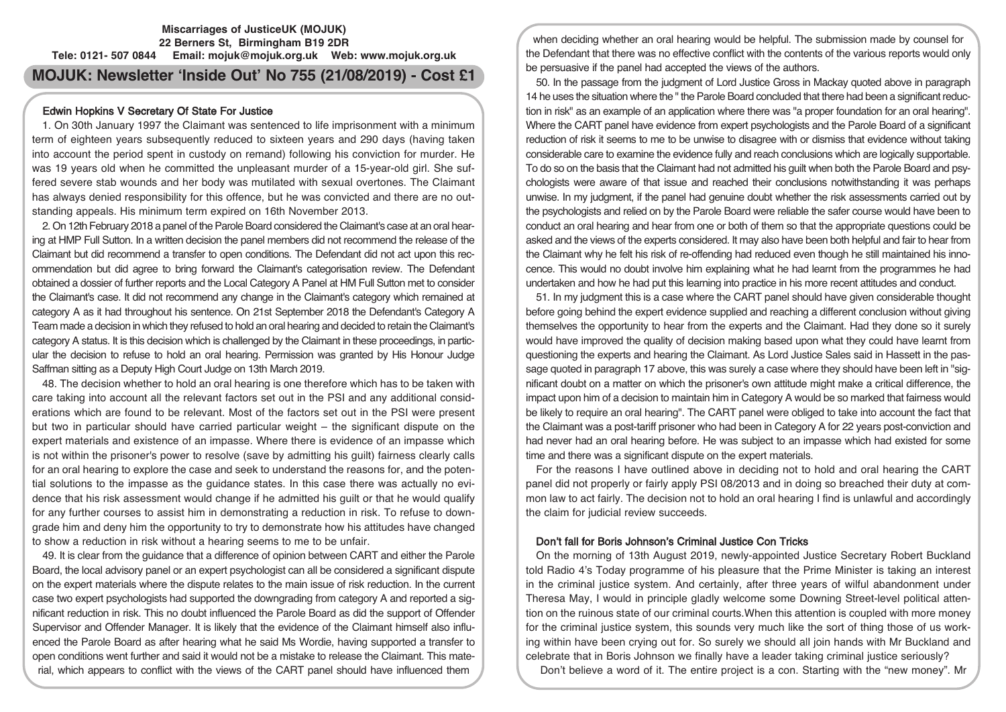# **Miscarriages of JusticeUK (MOJUK) 22 Berners St, Birmingham B19 2DR Tele: 0121- 507 0844 Email: mojuk@mojuk.org.uk Web: www.mojuk.org.uk**

# **MOJUK: Newsletter 'Inside Out' No 755 (21/08/2019) - Cost £1**

# Edwin Hopkins V Secretary Of State For Justice

1. On 30th January 1997 the Claimant was sentenced to life imprisonment with a minimum term of eighteen years subsequently reduced to sixteen years and 290 days (having taken into account the period spent in custody on remand) following his conviction for murder. He was 19 years old when he committed the unpleasant murder of a 15-year-old girl. She suffered severe stab wounds and her body was mutilated with sexual overtones. The Claimant has always denied responsibility for this offence, but he was convicted and there are no outstanding appeals. His minimum term expired on 16th November 2013.

2. On 12th February 2018 a panel of the Parole Board considered the Claimant's case at an oral hearing at HMP Full Sutton. In a written decision the panel members did not recommend the release of the Claimant but did recommend a transfer to open conditions. The Defendant did not act upon this recommendation but did agree to bring forward the Claimant's categorisation review. The Defendant obtained a dossier of further reports and the Local Category A Panel at HM Full Sutton met to consider the Claimant's case. It did not recommend any change in the Claimant's category which remained at category A as it had throughout his sentence. On 21st September 2018 the Defendant's Category A Team made a decision in which they refused to hold an oral hearing and decided to retain the Claimant's category A status. It is this decision which is challenged by the Claimant in these proceedings, in particular the decision to refuse to hold an oral hearing. Permission was granted by His Honour Judge Saffman sitting as a Deputy High Court Judge on 13th March 2019.

48. The decision whether to hold an oral hearing is one therefore which has to be taken with care taking into account all the relevant factors set out in the PSI and any additional considerations which are found to be relevant. Most of the factors set out in the PSI were present but two in particular should have carried particular weight – the significant dispute on the expert materials and existence of an impasse. Where there is evidence of an impasse which is not within the prisoner's power to resolve (save by admitting his guilt) fairness clearly calls for an oral hearing to explore the case and seek to understand the reasons for, and the potential solutions to the impasse as the guidance states. In this case there was actually no evidence that his risk assessment would change if he admitted his guilt or that he would qualify for any further courses to assist him in demonstrating a reduction in risk. To refuse to downgrade him and deny him the opportunity to try to demonstrate how his attitudes have changed to show a reduction in risk without a hearing seems to me to be unfair.

49. It is clear from the guidance that a difference of opinion between CART and either the Parole Board, the local advisory panel or an expert psychologist can all be considered a significant dispute on the expert materials where the dispute relates to the main issue of risk reduction. In the current case two expert psychologists had supported the downgrading from category A and reported a significant reduction in risk. This no doubt influenced the Parole Board as did the support of Offender Supervisor and Offender Manager. It is likely that the evidence of the Claimant himself also influenced the Parole Board as after hearing what he said Ms Wordie, having supported a transfer to open conditions went further and said it would not be a mistake to release the Claimant. This material, which appears to conflict with the views of the CART panel should have influenced them

when deciding whether an oral hearing would be helpful. The submission made by counsel for the Defendant that there was no effective conflict with the contents of the various reports would only be persuasive if the panel had accepted the views of the authors.

50. In the passage from the judgment of Lord Justice Gross in Mackay quoted above in paragraph 14 he uses the situation where the "the Parole Board concluded that there had been a significant reduction in risk" as an example of an application where there was "a proper foundation for an oral hearing". Where the CART panel have evidence from expert psychologists and the Parole Board of a significant reduction of risk it seems to me to be unwise to disagree with or dismiss that evidence without taking considerable care to examine the evidence fully and reach conclusions which are logically supportable. To do so on the basis that the Claimant had not admitted his guilt when both the Parole Board and psychologists were aware of that issue and reached their conclusions notwithstanding it was perhaps unwise. In my judgment, if the panel had genuine doubt whether the risk assessments carried out by the psychologists and relied on by the Parole Board were reliable the safer course would have been to conduct an oral hearing and hear from one or both of them so that the appropriate questions could be asked and the views of the experts considered. It may also have been both helpful and fair to hear from the Claimant why he felt his risk of re-offending had reduced even though he still maintained his innocence. This would no doubt involve him explaining what he had learnt from the programmes he had undertaken and how he had put this learning into practice in his more recent attitudes and conduct.

51. In my judgment this is a case where the CART panel should have given considerable thought before going behind the expert evidence supplied and reaching a different conclusion without giving themselves the opportunity to hear from the experts and the Claimant. Had they done so it surely would have improved the quality of decision making based upon what they could have learnt from questioning the experts and hearing the Claimant. As Lord Justice Sales said in Hassett in the passage quoted in paragraph 17 above, this was surely a case where they should have been left in "significant doubt on a matter on which the prisoner's own attitude might make a critical difference, the impact upon him of a decision to maintain him in Category A would be so marked that fairness would be likely to require an oral hearing". The CART panel were obliged to take into account the fact that the Claimant was a post-tariff prisoner who had been in Category A for 22 years post-conviction and had never had an oral hearing before. He was subject to an impasse which had existed for some time and there was a significant dispute on the expert materials.

For the reasons I have outlined above in deciding not to hold and oral hearing the CART panel did not properly or fairly apply PSI 08/2013 and in doing so breached their duty at common law to act fairly. The decision not to hold an oral hearing I find is unlawful and accordingly the claim for judicial review succeeds.

# Don't fall for Boris Johnson's Criminal Justice Con Tricks

On the morning of 13th August 2019, newly-appointed Justice Secretary Robert Buckland told Radio 4's Today programme of his pleasure that the Prime Minister is taking an interest in the criminal justice system. And certainly, after three years of wilful abandonment under Theresa May, I would in principle gladly welcome some Downing Street-level political attention on the ruinous state of our criminal courts.When this attention is coupled with more money for the criminal justice system, this sounds very much like the sort of thing those of us working within have been crying out for. So surely we should all join hands with Mr Buckland and celebrate that in Boris Johnson we finally have a leader taking criminal justice seriously?

Don't believe a word of it. The entire project is a con. Starting with the "new money". Mr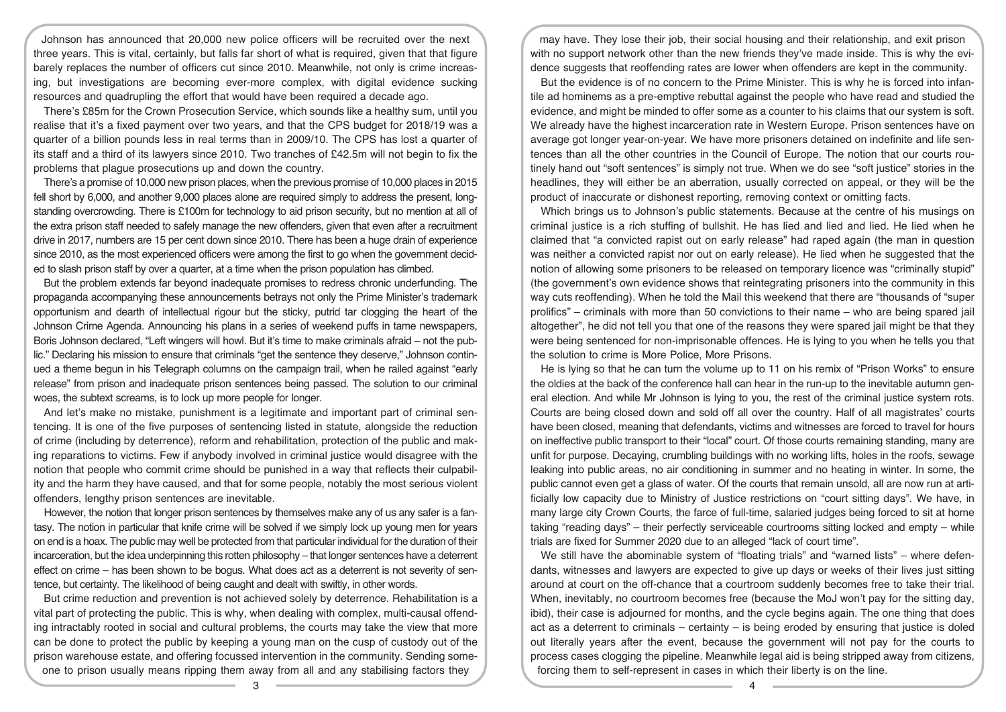Johnson has announced that 20,000 new police officers will be recruited over the next three years. This is vital, certainly, but falls far short of what is required, given that that figure barely replaces the number of officers cut since 2010. Meanwhile, not only is crime increasing, but investigations are becoming ever-more complex, with digital evidence sucking resources and quadrupling the effort that would have been required a decade ago.

There's £85m for the Crown Prosecution Service, which sounds like a healthy sum, until you realise that it's a fixed payment over two years, and that the CPS budget for 2018/19 was a quarter of a billion pounds less in real terms than in 2009/10. The CPS has lost a quarter of its staff and a third of its lawyers since 2010. Two tranches of £42.5m will not begin to fix the problems that plague prosecutions up and down the country.

There's a promise of 10,000 new prison places, when the previous promise of 10,000 places in 2015 fell short by 6,000, and another 9,000 places alone are required simply to address the present, longstanding overcrowding. There is £100m for technology to aid prison security, but no mention at all of the extra prison staff needed to safely manage the new offenders, given that even after a recruitment drive in 2017, numbers are 15 per cent down since 2010. There has been a huge drain of experience since 2010, as the most experienced officers were among the first to go when the government decided to slash prison staff by over a quarter, at a time when the prison population has climbed.

But the problem extends far beyond inadequate promises to redress chronic underfunding. The propaganda accompanying these announcements betrays not only the Prime Minister's trademark opportunism and dearth of intellectual rigour but the sticky, putrid tar clogging the heart of the Johnson Crime Agenda. Announcing his plans in a series of weekend puffs in tame newspapers, Boris Johnson declared, "Left wingers will howl. But it's time to make criminals afraid – not the public." Declaring his mission to ensure that criminals "get the sentence they deserve," Johnson continued a theme begun in his Telegraph columns on the campaign trail, when he railed against "early release" from prison and inadequate prison sentences being passed. The solution to our criminal woes, the subtext screams, is to lock up more people for longer.

And let's make no mistake, punishment is a legitimate and important part of criminal sentencing. It is one of the five purposes of sentencing listed in statute, alongside the reduction of crime (including by deterrence), reform and rehabilitation, protection of the public and making reparations to victims. Few if anybody involved in criminal justice would disagree with the notion that people who commit crime should be punished in a way that reflects their culpability and the harm they have caused, and that for some people, notably the most serious violent offenders, lengthy prison sentences are inevitable.

However, the notion that longer prison sentences by themselves make any of us any safer is a fantasy. The notion in particular that knife crime will be solved if we simply lock up young men for years on end is a hoax. The public may well be protected from that particular individual for the duration of their incarceration, but the idea underpinning this rotten philosophy – that longer sentences have a deterrent effect on crime – has been shown to be bogus. What does act as a deterrent is not severity of sentence, but certainty. The likelihood of being caught and dealt with swiftly, in other words.

But crime reduction and prevention is not achieved solely by deterrence. Rehabilitation is a vital part of protecting the public. This is why, when dealing with complex, multi-causal offending intractably rooted in social and cultural problems, the courts may take the view that more can be done to protect the public by keeping a young man on the cusp of custody out of the prison warehouse estate, and offering focussed intervention in the community. Sending someone to prison usually means ripping them away from all and any stabilising factors they

may have. They lose their job, their social housing and their relationship, and exit prison with no support network other than the new friends they've made inside. This is why the evidence suggests that reoffending rates are lower when offenders are kept in the community.

But the evidence is of no concern to the Prime Minister. This is why he is forced into infantile ad hominems as a pre-emptive rebuttal against the people who have read and studied the evidence, and might be minded to offer some as a counter to his claims that our system is soft. We already have the highest incarceration rate in Western Europe. Prison sentences have on average got longer year-on-year. We have more prisoners detained on indefinite and life sentences than all the other countries in the Council of Europe. The notion that our courts routinely hand out "soft sentences" is simply not true. When we do see "soft justice" stories in the headlines, they will either be an aberration, usually corrected on appeal, or they will be the product of inaccurate or dishonest reporting, removing context or omitting facts.

Which brings us to Johnson's public statements. Because at the centre of his musings on criminal justice is a rich stuffing of bullshit. He has lied and lied and lied. He lied when he claimed that "a convicted rapist out on early release" had raped again (the man in question was neither a convicted rapist nor out on early release). He lied when he suggested that the notion of allowing some prisoners to be released on temporary licence was "criminally stupid" (the government's own evidence shows that reintegrating prisoners into the community in this way cuts reoffending). When he told the Mail this weekend that there are "thousands of "super prolifics" – criminals with more than 50 convictions to their name – who are being spared jail altogether", he did not tell you that one of the reasons they were spared jail might be that they were being sentenced for non-imprisonable offences. He is lying to you when he tells you that the solution to crime is More Police, More Prisons.

He is lying so that he can turn the volume up to 11 on his remix of "Prison Works" to ensure the oldies at the back of the conference hall can hear in the run-up to the inevitable autumn general election. And while Mr Johnson is lying to you, the rest of the criminal justice system rots. Courts are being closed down and sold off all over the country. Half of all magistrates' courts have been closed, meaning that defendants, victims and witnesses are forced to travel for hours on ineffective public transport to their "local" court. Of those courts remaining standing, many are unfit for purpose. Decaying, crumbling buildings with no working lifts, holes in the roofs, sewage leaking into public areas, no air conditioning in summer and no heating in winter. In some, the public cannot even get a glass of water. Of the courts that remain unsold, all are now run at artificially low capacity due to Ministry of Justice restrictions on "court sitting days". We have, in many large city Crown Courts, the farce of full-time, salaried judges being forced to sit at home taking "reading days" – their perfectly serviceable courtrooms sitting locked and empty – while trials are fixed for Summer 2020 due to an alleged "lack of court time".

We still have the abominable system of "floating trials" and "warned lists" – where defendants, witnesses and lawyers are expected to give up days or weeks of their lives just sitting around at court on the off-chance that a courtroom suddenly becomes free to take their trial. When, inevitably, no courtroom becomes free (because the MoJ won't pay for the sitting day, ibid), their case is adjourned for months, and the cycle begins again. The one thing that does act as a deterrent to criminals – certainty – is being eroded by ensuring that justice is doled out literally years after the event, because the government will not pay for the courts to process cases clogging the pipeline. Meanwhile legal aid is being stripped away from citizens, forcing them to self-represent in cases in which their liberty is on the line.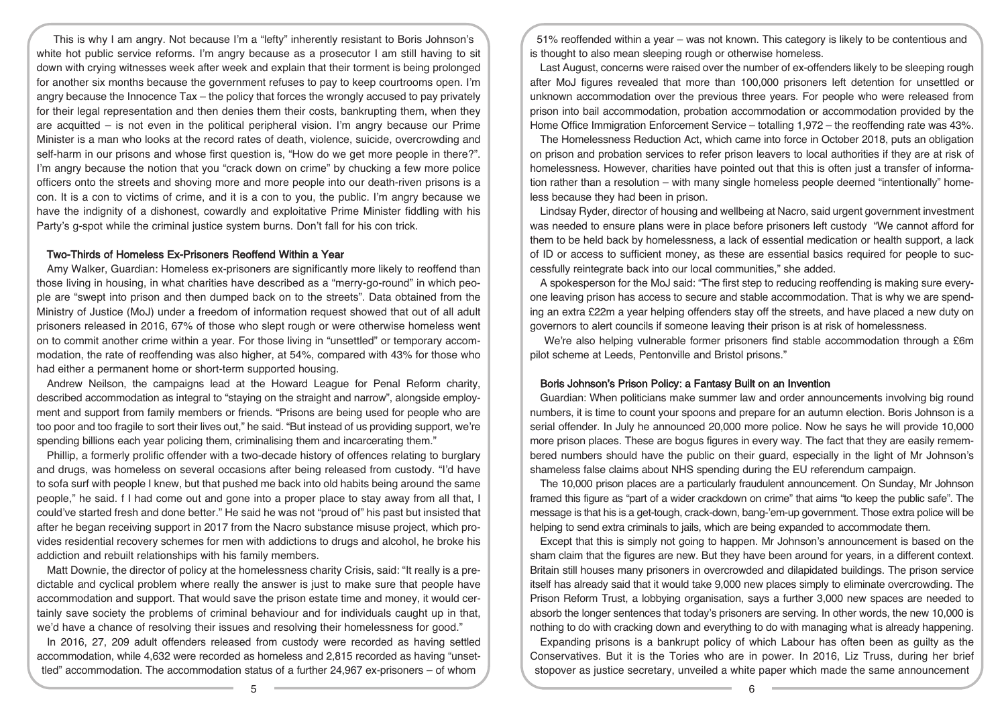This is why I am angry. Not because I'm a "lefty" inherently resistant to Boris Johnson's white hot public service reforms. I'm angry because as a prosecutor I am still having to sit down with crying witnesses week after week and explain that their torment is being prolonged for another six months because the government refuses to pay to keep courtrooms open. I'm angry because the Innocence Tax – the policy that forces the wrongly accused to pay privately for their legal representation and then denies them their costs, bankrupting them, when they are acquitted – is not even in the political peripheral vision. I'm angry because our Prime Minister is a man who looks at the record rates of death, violence, suicide, overcrowding and self-harm in our prisons and whose first question is, "How do we get more people in there?". I'm angry because the notion that you "crack down on crime" by chucking a few more police officers onto the streets and shoving more and more people into our death-riven prisons is a con. It is a con to victims of crime, and it is a con to you, the public. I'm angry because we have the indignity of a dishonest, cowardly and exploitative Prime Minister fiddling with his Party's g-spot while the criminal justice system burns. Don't fall for his con trick.

# Two-Thirds of Homeless Ex-Prisoners Reoffend Within a Year

Amy Walker, Guardian: Homeless ex-prisoners are significantly more likely to reoffend than those living in housing, in what charities have described as a "merry-go-round" in which people are "swept into prison and then dumped back on to the streets". Data obtained from the Ministry of Justice (MoJ) under a freedom of information request showed that out of all adult prisoners released in 2016, 67% of those who slept rough or were otherwise homeless went on to commit another crime within a year. For those living in "unsettled" or temporary accommodation, the rate of reoffending was also higher, at 54%, compared with 43% for those who had either a permanent home or short-term supported housing.

Andrew Neilson, the campaigns lead at the Howard League for Penal Reform charity, described accommodation as integral to "staying on the straight and narrow", alongside employment and support from family members or friends. "Prisons are being used for people who are too poor and too fragile to sort their lives out," he said. "But instead of us providing support, we're spending billions each year policing them, criminalising them and incarcerating them."

Phillip, a formerly prolific offender with a two-decade history of offences relating to burglary and drugs, was homeless on several occasions after being released from custody. "I'd have to sofa surf with people I knew, but that pushed me back into old habits being around the same people," he said. f I had come out and gone into a proper place to stay away from all that, I could've started fresh and done better." He said he was not "proud of" his past but insisted that after he began receiving support in 2017 from the Nacro substance misuse project, which provides residential recovery schemes for men with addictions to drugs and alcohol, he broke his addiction and rebuilt relationships with his family members.

Matt Downie, the director of policy at the homelessness charity Crisis, said: "It really is a predictable and cyclical problem where really the answer is just to make sure that people have accommodation and support. That would save the prison estate time and money, it would certainly save society the problems of criminal behaviour and for individuals caught up in that, we'd have a chance of resolving their issues and resolving their homelessness for good."

In 2016, 27, 209 adult offenders released from custody were recorded as having settled accommodation, while 4,632 were recorded as homeless and 2,815 recorded as having "unsettled" accommodation. The accommodation status of a further 24,967 ex-prisoners – of whom

51% reoffended within a year – was not known. This category is likely to be contentious and is thought to also mean sleeping rough or otherwise homeless.

Last August, concerns were raised over the number of ex-offenders likely to be sleeping rough after MoJ figures revealed that more than 100,000 prisoners left detention for unsettled or unknown accommodation over the previous three years. For people who were released from prison into bail accommodation, probation accommodation or accommodation provided by the Home Office Immigration Enforcement Service – totalling 1,972 – the reoffending rate was 43%.

The Homelessness Reduction Act, which came into force in October 2018, puts an obligation on prison and probation services to refer prison leavers to local authorities if they are at risk of homelessness. However, charities have pointed out that this is often just a transfer of information rather than a resolution – with many single homeless people deemed "intentionally" homeless because they had been in prison.

Lindsay Ryder, director of housing and wellbeing at Nacro, said urgent government investment was needed to ensure plans were in place before prisoners left custody "We cannot afford for them to be held back by homelessness, a lack of essential medication or health support, a lack of ID or access to sufficient money, as these are essential basics required for people to successfully reintegrate back into our local communities," she added.

A spokesperson for the MoJ said: "The first step to reducing reoffending is making sure everyone leaving prison has access to secure and stable accommodation. That is why we are spending an extra £22m a year helping offenders stay off the streets, and have placed a new duty on governors to alert councils if someone leaving their prison is at risk of homelessness.

We're also helping vulnerable former prisoners find stable accommodation through a £6m pilot scheme at Leeds, Pentonville and Bristol prisons."

# Boris Johnson's Prison Policy: a Fantasy Built on an Invention

Guardian: When politicians make summer law and order announcements involving big round numbers, it is time to count your spoons and prepare for an autumn election. Boris Johnson is a serial offender. In July he announced 20,000 more police. Now he says he will provide 10,000 more prison places. These are bogus figures in every way. The fact that they are easily remembered numbers should have the public on their guard, especially in the light of Mr Johnson's shameless false claims about NHS spending during the EU referendum campaign.

The 10,000 prison places are a particularly fraudulent announcement. On Sunday, Mr Johnson framed this figure as "part of a wider crackdown on crime" that aims "to keep the public safe". The message is that his is a get-tough, crack-down, bang-'em-up government. Those extra police will be helping to send extra criminals to jails, which are being expanded to accommodate them.

Except that this is simply not going to happen. Mr Johnson's announcement is based on the sham claim that the figures are new. But they have been around for years, in a different context. Britain still houses many prisoners in overcrowded and dilapidated buildings. The prison service itself has already said that it would take 9,000 new places simply to eliminate overcrowding. The Prison Reform Trust, a lobbying organisation, says a further 3,000 new spaces are needed to absorb the longer sentences that today's prisoners are serving. In other words, the new 10,000 is nothing to do with cracking down and everything to do with managing what is already happening.

Expanding prisons is a bankrupt policy of which Labour has often been as guilty as the Conservatives. But it is the Tories who are in power. In 2016, Liz Truss, during her brief stopover as justice secretary, unveiled a white paper which made the same announcement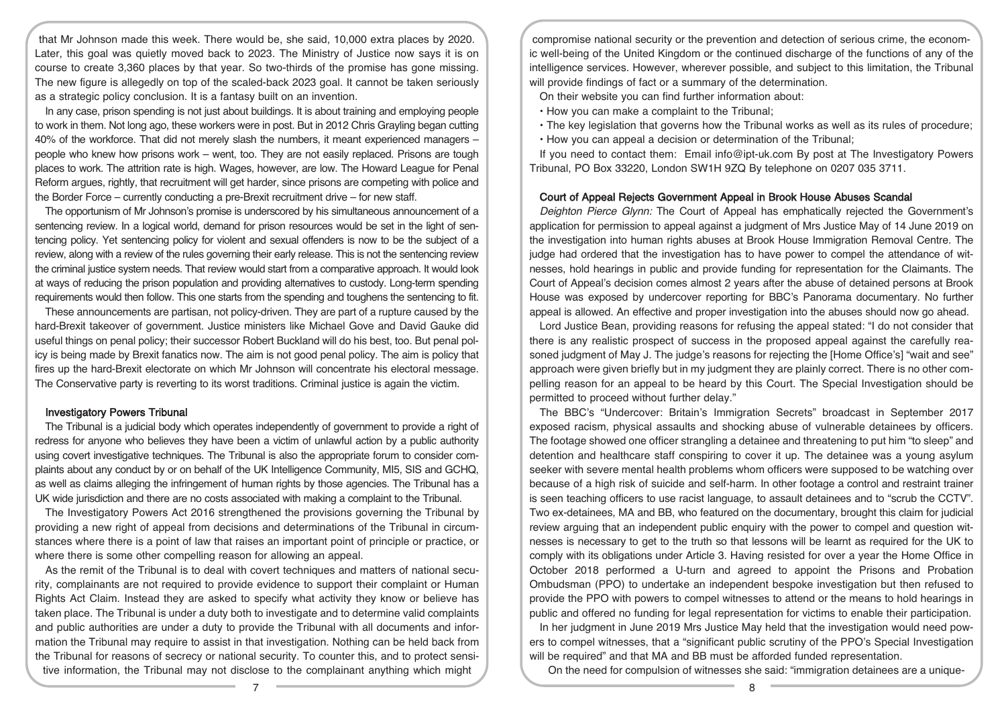that Mr Johnson made this week. There would be, she said, 10,000 extra places by 2020. Later, this goal was quietly moved back to 2023. The Ministry of Justice now says it is on course to create 3,360 places by that year. So two-thirds of the promise has gone missing. The new figure is allegedly on top of the scaled-back 2023 goal. It cannot be taken seriously as a strategic policy conclusion. It is a fantasy built on an invention.

In any case, prison spending is not just about buildings. It is about training and employing people to work in them. Not long ago, these workers were in post. But in 2012 Chris Grayling began cutting 40% of the workforce. That did not merely slash the numbers, it meant experienced managers – people who knew how prisons work – went, too. They are not easily replaced. Prisons are tough places to work. The attrition rate is high. Wages, however, are low. The Howard League for Penal Reform argues, rightly, that recruitment will get harder, since prisons are competing with police and the Border Force – currently conducting a pre-Brexit recruitment drive – for new staff.

The opportunism of Mr Johnson's promise is underscored by his simultaneous announcement of a sentencing review. In a logical world, demand for prison resources would be set in the light of sentencing policy. Yet sentencing policy for violent and sexual offenders is now to be the subject of a review, along with a review of the rules governing their early release. This is not the sentencing review the criminal justice system needs. That review would start from a comparative approach. It would look at ways of reducing the prison population and providing alternatives to custody. Long-term spending requirements would then follow. This one starts from the spending and toughens the sentencing to fit.

These announcements are partisan, not policy-driven. They are part of a rupture caused by the hard-Brexit takeover of government. Justice ministers like Michael Gove and David Gauke did useful things on penal policy; their successor Robert Buckland will do his best, too. But penal policy is being made by Brexit fanatics now. The aim is not good penal policy. The aim is policy that fires up the hard-Brexit electorate on which Mr Johnson will concentrate his electoral message. The Conservative party is reverting to its worst traditions. Criminal justice is again the victim.

## Investigatory Powers Tribunal

The Tribunal is a judicial body which operates independently of government to provide a right of redress for anyone who believes they have been a victim of unlawful action by a public authority using covert investigative techniques. The Tribunal is also the appropriate forum to consider complaints about any conduct by or on behalf of the UK Intelligence Community, MI5, SIS and GCHQ, as well as claims alleging the infringement of human rights by those agencies. The Tribunal has a UK wide jurisdiction and there are no costs associated with making a complaint to the Tribunal.

The Investigatory Powers Act 2016 strengthened the provisions governing the Tribunal by providing a new right of appeal from decisions and determinations of the Tribunal in circumstances where there is a point of law that raises an important point of principle or practice, or where there is some other compelling reason for allowing an appeal.

As the remit of the Tribunal is to deal with covert techniques and matters of national security, complainants are not required to provide evidence to support their complaint or Human Rights Act Claim. Instead they are asked to specify what activity they know or believe has taken place. The Tribunal is under a duty both to investigate and to determine valid complaints and public authorities are under a duty to provide the Tribunal with all documents and information the Tribunal may require to assist in that investigation. Nothing can be held back from the Tribunal for reasons of secrecy or national security. To counter this, and to protect sensitive information, the Tribunal may not disclose to the complainant anything which might

compromise national security or the prevention and detection of serious crime, the economic well-being of the United Kingdom or the continued discharge of the functions of any of the intelligence services. However, wherever possible, and subject to this limitation, the Tribunal will provide findings of fact or a summary of the determination.

On their website you can find further information about:

- How you can make a complaint to the Tribunal;
- The key legislation that governs how the Tribunal works as well as its rules of procedure; • How you can appeal a decision or determination of the Tribunal;

If you need to contact them: Email info@ipt-uk.com By post at The Investigatory Powers Tribunal, PO Box 33220, London SW1H 9ZQ By telephone on 0207 035 3711.

### Court of Appeal Rejects Government Appeal in Brook House Abuses Scandal

Deighton Pierce Glynn: The Court of Appeal has emphatically rejected the Government's application for permission to appeal against a judgment of Mrs Justice May of 14 June 2019 on the investigation into human rights abuses at Brook House Immigration Removal Centre. The judge had ordered that the investigation has to have power to compel the attendance of witnesses, hold hearings in public and provide funding for representation for the Claimants. The Court of Appeal's decision comes almost 2 years after the abuse of detained persons at Brook House was exposed by undercover reporting for BBC's Panorama documentary. No further appeal is allowed. An effective and proper investigation into the abuses should now go ahead.

Lord Justice Bean, providing reasons for refusing the appeal stated: "I do not consider that there is any realistic prospect of success in the proposed appeal against the carefully reasoned judgment of May J. The judge's reasons for rejecting the [Home Office's] "wait and see" approach were given briefly but in my judgment they are plainly correct. There is no other compelling reason for an appeal to be heard by this Court. The Special Investigation should be permitted to proceed without further delay."

The BBC's "Undercover: Britain's Immigration Secrets" broadcast in September 2017 exposed racism, physical assaults and shocking abuse of vulnerable detainees by officers. The footage showed one officer strangling a detainee and threatening to put him "to sleep" and detention and healthcare staff conspiring to cover it up. The detainee was a young asylum seeker with severe mental health problems whom officers were supposed to be watching over because of a high risk of suicide and self-harm. In other footage a control and restraint trainer is seen teaching officers to use racist language, to assault detainees and to "scrub the CCTV". Two ex-detainees, MA and BB, who featured on the documentary, brought this claim for judicial review arguing that an independent public enquiry with the power to compel and question witnesses is necessary to get to the truth so that lessons will be learnt as required for the UK to comply with its obligations under Article 3. Having resisted for over a year the Home Office in October 2018 performed a U-turn and agreed to appoint the Prisons and Probation Ombudsman (PPO) to undertake an independent bespoke investigation but then refused to provide the PPO with powers to compel witnesses to attend or the means to hold hearings in public and offered no funding for legal representation for victims to enable their participation.

In her judgment in June 2019 Mrs Justice May held that the investigation would need powers to compel witnesses, that a "significant public scrutiny of the PPO's Special Investigation will be required" and that MA and BB must be afforded funded representation.

On the need for compulsion of witnesses she said: "immigration detainees are a unique-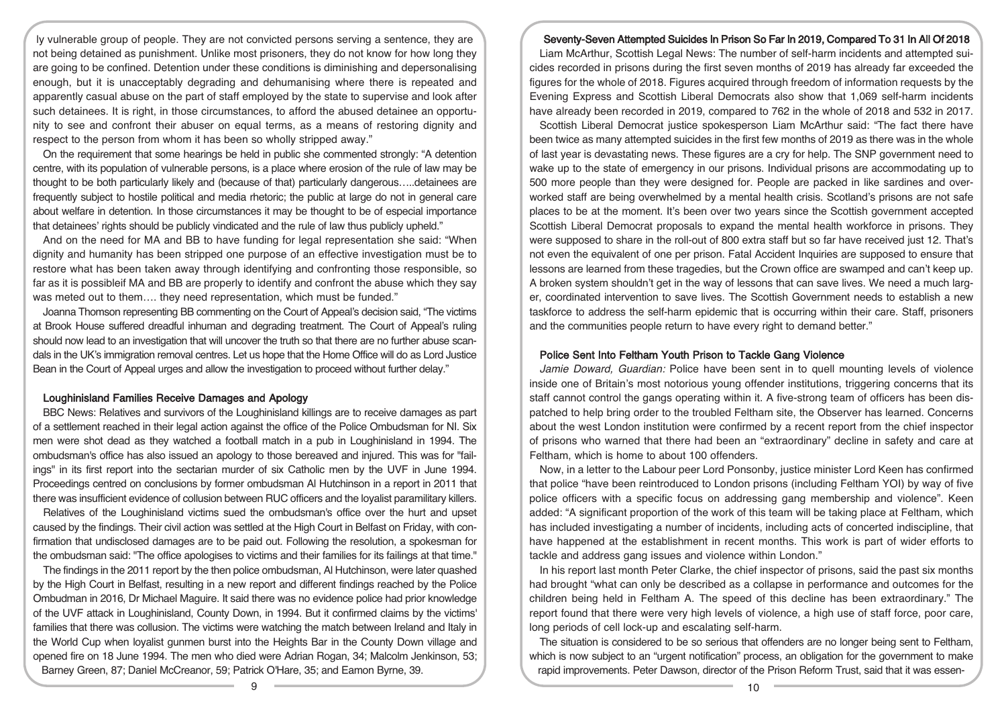ly vulnerable group of people. They are not convicted persons serving a sentence, they are not being detained as punishment. Unlike most prisoners, they do not know for how long they are going to be confined. Detention under these conditions is diminishing and depersonalising enough, but it is unacceptably degrading and dehumanising where there is repeated and apparently casual abuse on the part of staff employed by the state to supervise and look after such detainees. It is right, in those circumstances, to afford the abused detainee an opportunity to see and confront their abuser on equal terms, as a means of restoring dignity and respect to the person from whom it has been so wholly stripped away."

On the requirement that some hearings be held in public she commented strongly: "A detention centre, with its population of vulnerable persons, is a place where erosion of the rule of law may be thought to be both particularly likely and (because of that) particularly dangerous…..detainees are frequently subject to hostile political and media rhetoric; the public at large do not in general care about welfare in detention. In those circumstances it may be thought to be of especial importance that detainees' rights should be publicly vindicated and the rule of law thus publicly upheld."

And on the need for MA and BB to have funding for legal representation she said: "When dignity and humanity has been stripped one purpose of an effective investigation must be to restore what has been taken away through identifying and confronting those responsible, so far as it is possibleif MA and BB are properly to identify and confront the abuse which they say was meted out to them…. they need representation, which must be funded."

Joanna Thomson representing BB commenting on the Court of Appeal's decision said, "The victims at Brook House suffered dreadful inhuman and degrading treatment. The Court of Appeal's ruling should now lead to an investigation that will uncover the truth so that there are no further abuse scandals in the UK's immigration removal centres. Let us hope that the Home Office will do as Lord Justice Bean in the Court of Appeal urges and allow the investigation to proceed without further delay."

# Loughinisland Families Receive Damages and Apology

BBC News: Relatives and survivors of the Loughinisland killings are to receive damages as part of a settlement reached in their legal action against the office of the Police Ombudsman for NI. Six men were shot dead as they watched a football match in a pub in Loughinisland in 1994. The ombudsman's office has also issued an apology to those bereaved and injured. This was for "failings" in its first report into the sectarian murder of six Catholic men by the UVF in June 1994. Proceedings centred on conclusions by former ombudsman Al Hutchinson in a report in 2011 that there was insufficient evidence of collusion between RUC officers and the loyalist paramilitary killers.

Relatives of the Loughinisland victims sued the ombudsman's office over the hurt and upset caused by the findings. Their civil action was settled at the High Court in Belfast on Friday, with confirmation that undisclosed damages are to be paid out. Following the resolution, a spokesman for the ombudsman said: "The office apologises to victims and their families for its failings at that time."

The findings in the 2011 report by the then police ombudsman, Al Hutchinson, were later quashed by the High Court in Belfast, resulting in a new report and different findings reached by the Police Ombudman in 2016, Dr Michael Maguire. It said there was no evidence police had prior knowledge of the UVF attack in Loughinisland, County Down, in 1994. But it confirmed claims by the victims' families that there was collusion. The victims were watching the match between Ireland and Italy in the World Cup when loyalist gunmen burst into the Heights Bar in the County Down village and opened fire on 18 June 1994. The men who died were Adrian Rogan, 34; Malcolm Jenkinson, 53; Barney Green, 87; Daniel McCreanor, 59; Patrick O'Hare, 35; and Eamon Byrne, 39.

# Seventy-Seven Attempted Suicides In Prison So Far In 2019, Compared To 31 In All Of 2018

Liam McArthur, Scottish Legal News: The number of self-harm incidents and attempted suicides recorded in prisons during the first seven months of 2019 has already far exceeded the figures for the whole of 2018. Figures acquired through freedom of information requests by the Evening Express and Scottish Liberal Democrats also show that 1,069 self-harm incidents have already been recorded in 2019, compared to 762 in the whole of 2018 and 532 in 2017.

Scottish Liberal Democrat justice spokesperson Liam McArthur said: "The fact there have been twice as many attempted suicides in the first few months of 2019 as there was in the whole of last year is devastating news. These figures are a cry for help. The SNP government need to wake up to the state of emergency in our prisons. Individual prisons are accommodating up to 500 more people than they were designed for. People are packed in like sardines and overworked staff are being overwhelmed by a mental health crisis. Scotland's prisons are not safe places to be at the moment. It's been over two years since the Scottish government accepted Scottish Liberal Democrat proposals to expand the mental health workforce in prisons. They were supposed to share in the roll-out of 800 extra staff but so far have received just 12. That's not even the equivalent of one per prison. Fatal Accident Inquiries are supposed to ensure that lessons are learned from these tragedies, but the Crown office are swamped and can't keep up. A broken system shouldn't get in the way of lessons that can save lives. We need a much larger, coordinated intervention to save lives. The Scottish Government needs to establish a new taskforce to address the self-harm epidemic that is occurring within their care. Staff, prisoners and the communities people return to have every right to demand better."

### Police Sent Into Feltham Youth Prison to Tackle Gang Violence

Jamie Doward, Guardian: Police have been sent in to quell mounting levels of violence inside one of Britain's most notorious young offender institutions, triggering concerns that its staff cannot control the gangs operating within it. A five-strong team of officers has been dispatched to help bring order to the troubled Feltham site, the Observer has learned. Concerns about the west London institution were confirmed by a recent report from the chief inspector of prisons who warned that there had been an "extraordinary" decline in safety and care at Feltham, which is home to about 100 offenders.

Now, in a letter to the Labour peer Lord Ponsonby, justice minister Lord Keen has confirmed that police "have been reintroduced to London prisons (including Feltham YOI) by way of five police officers with a specific focus on addressing gang membership and violence". Keen added: "A significant proportion of the work of this team will be taking place at Feltham, which has included investigating a number of incidents, including acts of concerted indiscipline, that have happened at the establishment in recent months. This work is part of wider efforts to tackle and address gang issues and violence within London."

In his report last month Peter Clarke, the chief inspector of prisons, said the past six months had brought "what can only be described as a collapse in performance and outcomes for the children being held in Feltham A. The speed of this decline has been extraordinary." The report found that there were very high levels of violence, a high use of staff force, poor care, long periods of cell lock-up and escalating self-harm.

The situation is considered to be so serious that offenders are no longer being sent to Feltham, which is now subject to an "urgent notification" process, an obligation for the government to make rapid improvements. Peter Dawson, director of the Prison Reform Trust, said that it was essen-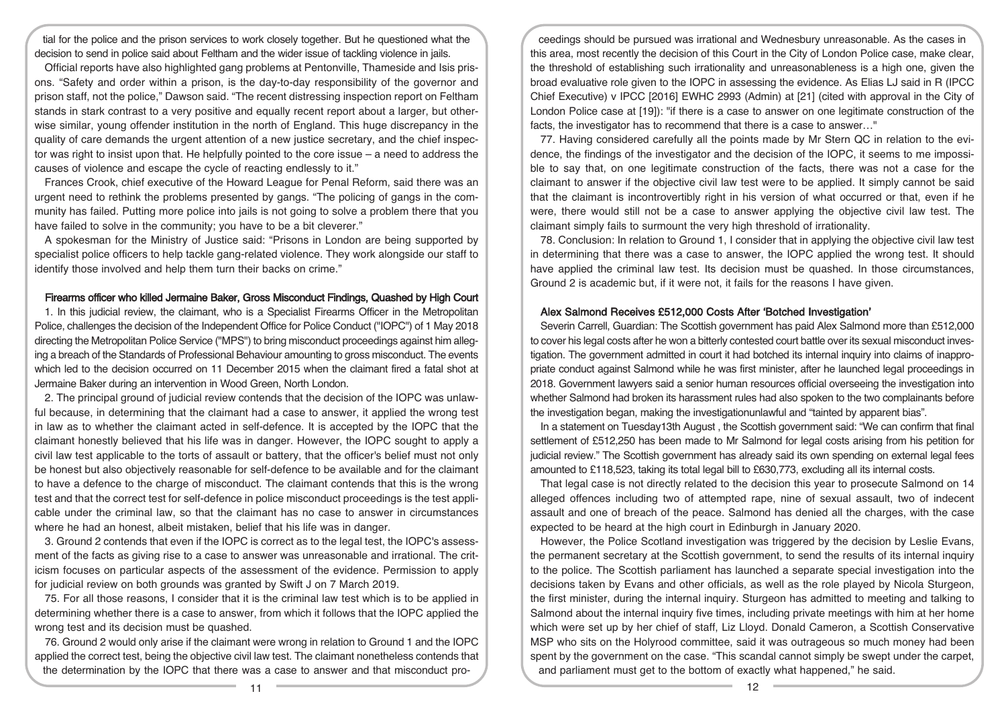tial for the police and the prison services to work closely together. But he questioned what the decision to send in police said about Feltham and the wider issue of tackling violence in jails.

Official reports have also highlighted gang problems at Pentonville, Thameside and Isis prisons. "Safety and order within a prison, is the day-to-day responsibility of the governor and prison staff, not the police," Dawson said. "The recent distressing inspection report on Feltham stands in stark contrast to a very positive and equally recent report about a larger, but otherwise similar, young offender institution in the north of England. This huge discrepancy in the quality of care demands the urgent attention of a new justice secretary, and the chief inspector was right to insist upon that. He helpfully pointed to the core issue – a need to address the causes of violence and escape the cycle of reacting endlessly to it."

Frances Crook, chief executive of the Howard League for Penal Reform, said there was an urgent need to rethink the problems presented by gangs. "The policing of gangs in the community has failed. Putting more police into jails is not going to solve a problem there that you have failed to solve in the community; you have to be a bit cleverer."

A spokesman for the Ministry of Justice said: "Prisons in London are being supported by specialist police officers to help tackle gang-related violence. They work alongside our staff to identify those involved and help them turn their backs on crime."

# Firearms officer who killed Jermaine Baker, Gross Misconduct Findings, Quashed by High Court

1. In this judicial review, the claimant, who is a Specialist Firearms Officer in the Metropolitan Police, challenges the decision of the Independent Office for Police Conduct ("IOPC") of 1 May 2018 directing the Metropolitan Police Service ("MPS") to bring misconduct proceedings against him alleging a breach of the Standards of Professional Behaviour amounting to gross misconduct. The events which led to the decision occurred on 11 December 2015 when the claimant fired a fatal shot at Jermaine Baker during an intervention in Wood Green, North London.

2. The principal ground of judicial review contends that the decision of the IOPC was unlawful because, in determining that the claimant had a case to answer, it applied the wrong test in law as to whether the claimant acted in self-defence. It is accepted by the IOPC that the claimant honestly believed that his life was in danger. However, the IOPC sought to apply a civil law test applicable to the torts of assault or battery, that the officer's belief must not only be honest but also objectively reasonable for self-defence to be available and for the claimant to have a defence to the charge of misconduct. The claimant contends that this is the wrong test and that the correct test for self-defence in police misconduct proceedings is the test applicable under the criminal law, so that the claimant has no case to answer in circumstances where he had an honest, albeit mistaken, belief that his life was in danger.

3. Ground 2 contends that even if the IOPC is correct as to the legal test, the IOPC's assessment of the facts as giving rise to a case to answer was unreasonable and irrational. The criticism focuses on particular aspects of the assessment of the evidence. Permission to apply for judicial review on both grounds was granted by Swift J on 7 March 2019.

75. For all those reasons, I consider that it is the criminal law test which is to be applied in determining whether there is a case to answer, from which it follows that the IOPC applied the wrong test and its decision must be quashed.

76. Ground 2 would only arise if the claimant were wrong in relation to Ground 1 and the IOPC applied the correct test, being the objective civil law test. The claimant nonetheless contends that the determination by the IOPC that there was a case to answer and that misconduct pro-

ceedings should be pursued was irrational and Wednesbury unreasonable. As the cases in this area, most recently the decision of this Court in the City of London Police case, make clear, the threshold of establishing such irrationality and unreasonableness is a high one, given the broad evaluative role given to the IOPC in assessing the evidence. As Elias LJ said in R (IPCC Chief Executive) v IPCC [2016] EWHC 2993 (Admin) at [21] (cited with approval in the City of London Police case at [19]): "if there is a case to answer on one legitimate construction of the facts, the investigator has to recommend that there is a case to answer…"

77. Having considered carefully all the points made by Mr Stern QC in relation to the evidence, the findings of the investigator and the decision of the IOPC, it seems to me impossible to say that, on one legitimate construction of the facts, there was not a case for the claimant to answer if the objective civil law test were to be applied. It simply cannot be said that the claimant is incontrovertibly right in his version of what occurred or that, even if he were, there would still not be a case to answer applying the objective civil law test. The claimant simply fails to surmount the very high threshold of irrationality.

78. Conclusion: In relation to Ground 1, I consider that in applying the objective civil law test in determining that there was a case to answer, the IOPC applied the wrong test. It should have applied the criminal law test. Its decision must be quashed. In those circumstances, Ground 2 is academic but, if it were not, it fails for the reasons I have given.

# Alex Salmond Receives £512,000 Costs After 'Botched Investigation'

Severin Carrell, Guardian: The Scottish government has paid Alex Salmond more than £512,000 to cover his legal costs after he won a bitterly contested court battle over its sexual misconduct investigation. The government admitted in court it had botched its internal inquiry into claims of inappropriate conduct against Salmond while he was first minister, after he launched legal proceedings in 2018. Government lawyers said a senior human resources official overseeing the investigation into whether Salmond had broken its harassment rules had also spoken to the two complainants before the investigation began, making the investigationunlawful and "tainted by apparent bias".

In a statement on Tuesday13th August , the Scottish government said: "We can confirm that final settlement of £512,250 has been made to Mr Salmond for legal costs arising from his petition for judicial review." The Scottish government has already said its own spending on external legal fees amounted to £118,523, taking its total legal bill to £630,773, excluding all its internal costs.

That legal case is not directly related to the decision this year to prosecute Salmond on 14 alleged offences including two of attempted rape, nine of sexual assault, two of indecent assault and one of breach of the peace. Salmond has denied all the charges, with the case expected to be heard at the high court in Edinburgh in January 2020.

However, the Police Scotland investigation was triggered by the decision by Leslie Evans, the permanent secretary at the Scottish government, to send the results of its internal inquiry to the police. The Scottish parliament has launched a separate special investigation into the decisions taken by Evans and other officials, as well as the role played by Nicola Sturgeon, the first minister, during the internal inquiry. Sturgeon has admitted to meeting and talking to Salmond about the internal inquiry five times, including private meetings with him at her home which were set up by her chief of staff, Liz Lloyd. Donald Cameron, a Scottish Conservative MSP who sits on the Holyrood committee, said it was outrageous so much money had been spent by the government on the case. "This scandal cannot simply be swept under the carpet, and parliament must get to the bottom of exactly what happened," he said.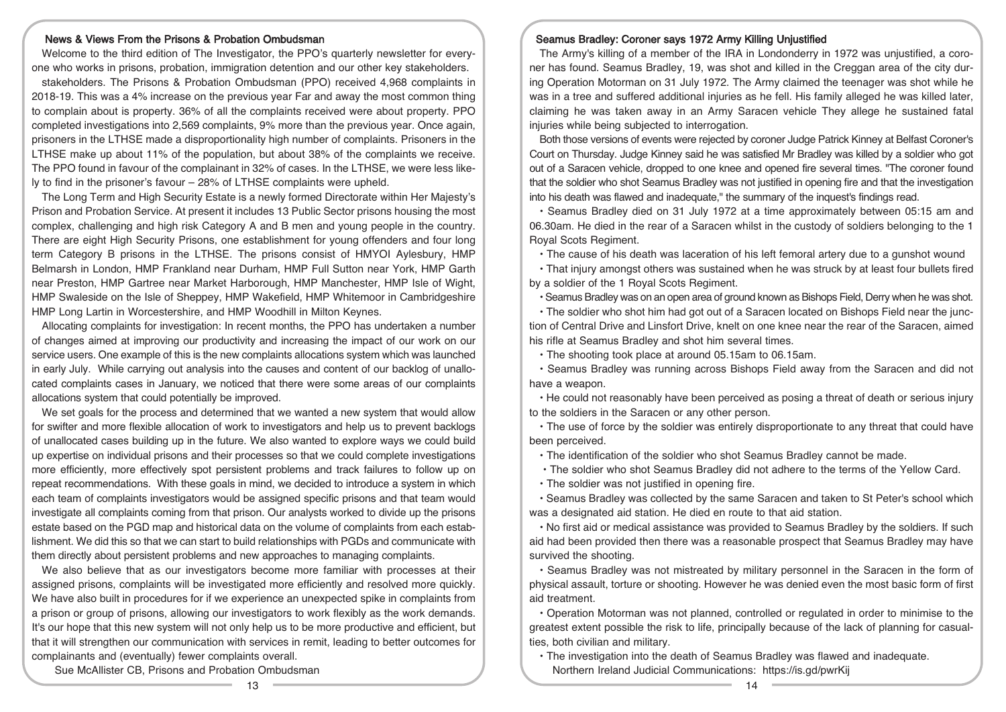# News & Views From the Prisons & Probation Ombudsman

Welcome to the third edition of The Investigator, the PPO's quarterly newsletter for everyone who works in prisons, probation, immigration detention and our other key stakeholders.

stakeholders. The Prisons & Probation Ombudsman (PPO) received 4,968 complaints in 2018-19. This was a 4% increase on the previous year Far and away the most common thing to complain about is property. 36% of all the complaints received were about property. PPO completed investigations into 2,569 complaints, 9% more than the previous year. Once again, prisoners in the LTHSE made a disproportionality high number of complaints. Prisoners in the LTHSE make up about 11% of the population, but about 38% of the complaints we receive. The PPO found in favour of the complainant in 32% of cases. In the LTHSE, we were less likely to find in the prisoner's favour – 28% of LTHSE complaints were upheld.

The Long Term and High Security Estate is a newly formed Directorate within Her Majesty's Prison and Probation Service. At present it includes 13 Public Sector prisons housing the most complex, challenging and high risk Category A and B men and young people in the country. There are eight High Security Prisons, one establishment for young offenders and four long term Category B prisons in the LTHSE. The prisons consist of HMYOI Aylesbury, HMP Belmarsh in London, HMP Frankland near Durham, HMP Full Sutton near York, HMP Garth near Preston, HMP Gartree near Market Harborough, HMP Manchester, HMP Isle of Wight, HMP Swaleside on the Isle of Sheppey, HMP Wakefield, HMP Whitemoor in Cambridgeshire HMP Long Lartin in Worcestershire, and HMP Woodhill in Milton Keynes.

Allocating complaints for investigation: In recent months, the PPO has undertaken a number of changes aimed at improving our productivity and increasing the impact of our work on our service users. One example of this is the new complaints allocations system which was launched in early July. While carrying out analysis into the causes and content of our backlog of unallocated complaints cases in January, we noticed that there were some areas of our complaints allocations system that could potentially be improved.

We set goals for the process and determined that we wanted a new system that would allow for swifter and more flexible allocation of work to investigators and help us to prevent backlogs of unallocated cases building up in the future. We also wanted to explore ways we could build up expertise on individual prisons and their processes so that we could complete investigations more efficiently, more effectively spot persistent problems and track failures to follow up on repeat recommendations. With these goals in mind, we decided to introduce a system in which each team of complaints investigators would be assigned specific prisons and that team would investigate all complaints coming from that prison. Our analysts worked to divide up the prisons estate based on the PGD map and historical data on the volume of complaints from each establishment. We did this so that we can start to build relationships with PGDs and communicate with them directly about persistent problems and new approaches to managing complaints.

We also believe that as our investigators become more familiar with processes at their assigned prisons, complaints will be investigated more efficiently and resolved more quickly. We have also built in procedures for if we experience an unexpected spike in complaints from a prison or group of prisons, allowing our investigators to work flexibly as the work demands. It's our hope that this new system will not only help us to be more productive and efficient, but that it will strengthen our communication with services in remit, leading to better outcomes for complainants and (eventually) fewer complaints overall.

Sue McAllister CB, Prisons and Probation Ombudsman

# Seamus Bradley: Coroner says 1972 Army Killing Unjustified

The Army's killing of a member of the IRA in Londonderry in 1972 was unjustified, a coroner has found. Seamus Bradley, 19, was shot and killed in the Creggan area of the city during Operation Motorman on 31 July 1972. The Army claimed the teenager was shot while he was in a tree and suffered additional injuries as he fell. His family alleged he was killed later, claiming he was taken away in an Army Saracen vehicle They allege he sustained fatal injuries while being subjected to interrogation.

Both those versions of events were rejected by coroner Judge Patrick Kinney at Belfast Coroner's Court on Thursday. Judge Kinney said he was satisfied Mr Bradley was killed by a soldier who got out of a Saracen vehicle, dropped to one knee and opened fire several times. "The coroner found that the soldier who shot Seamus Bradley was not justified in opening fire and that the investigation into his death was flawed and inadequate," the summary of the inquest's findings read.

• Seamus Bradley died on 31 July 1972 at a time approximately between 05:15 am and 06.30am. He died in the rear of a Saracen whilst in the custody of soldiers belonging to the 1 Royal Scots Regiment.

• The cause of his death was laceration of his left femoral artery due to a gunshot wound

• That injury amongst others was sustained when he was struck by at least four bullets fired by a soldier of the 1 Royal Scots Regiment.

• Seamus Bradley was on an open area of ground known as Bishops Field, Derry when he was shot.

• The soldier who shot him had got out of a Saracen located on Bishops Field near the junction of Central Drive and Linsfort Drive, knelt on one knee near the rear of the Saracen, aimed his rifle at Seamus Bradley and shot him several times.

• The shooting took place at around 05.15am to 06.15am.

• Seamus Bradley was running across Bishops Field away from the Saracen and did not have a weapon.

• He could not reasonably have been perceived as posing a threat of death or serious injury to the soldiers in the Saracen or any other person.

• The use of force by the soldier was entirely disproportionate to any threat that could have been perceived.

• The identification of the soldier who shot Seamus Bradley cannot be made.

• The soldier who shot Seamus Bradley did not adhere to the terms of the Yellow Card.

• The soldier was not justified in opening fire.

• Seamus Bradley was collected by the same Saracen and taken to St Peter's school which was a designated aid station. He died en route to that aid station.

• No first aid or medical assistance was provided to Seamus Bradley by the soldiers. If such aid had been provided then there was a reasonable prospect that Seamus Bradley may have survived the shooting.

• Seamus Bradley was not mistreated by military personnel in the Saracen in the form of physical assault, torture or shooting. However he was denied even the most basic form of first aid treatment.

• Operation Motorman was not planned, controlled or regulated in order to minimise to the greatest extent possible the risk to life, principally because of the lack of planning for casualties, both civilian and military.

• The investigation into the death of Seamus Bradley was flawed and inadequate. Northern Ireland Judicial Communications: https://is.gd/pwrKij